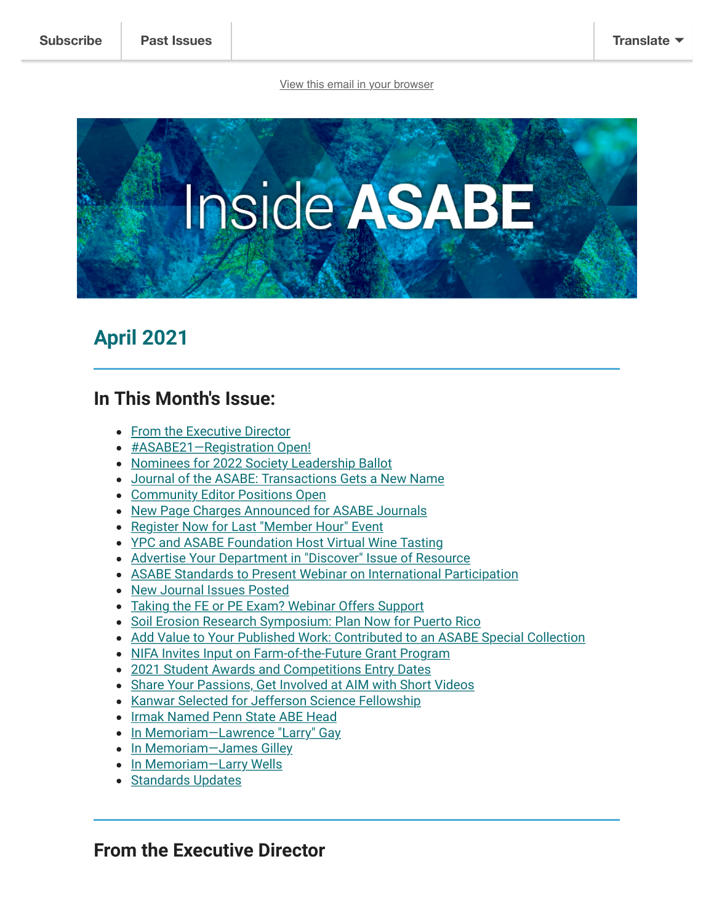[View this email in your browser](https://mailchi.mp/25a12caa0567/inside-asabe-member-news-for-february-4777440?e=%5BUNIQID%5D)



# <span id="page-0-1"></span>**April 2021**

#### **In This Month's Issue:**

- [From the Executive Director](#page-0-0)
- [#ASABE21—Registration Open!](#page-2-0)
- [Nominees for 2022 Society Leadership Ballot](#page-2-1)
- [Journal of the ASABE: Transactions Gets a New Name](#page-3-0)
- [Community Editor Positions Open](#page-3-1)
- [New Page Charges Announced for ASABE Journals](#page-3-2)
- [Register Now for Last "Member Hour" Event](#page-4-0)
- [YPC and ASABE Foundation Host Virtual Wine Tasting](#page-4-1)
- [Advertise Your Department in "Discover" Issue of Resource](#page-5-0)
- [ASABE Standards to Present Webinar on International Participation](#page-5-1)
- [New Journal Issues Posted](#page-5-2)
- [Taking the FE or PE Exam? Webinar Offers Support](#page-6-0)
- [Soil Erosion Research Symposium: Plan Now for Puerto Rico](#page-6-1)
- [Add Value to Your Published Work: Contributed to an ASABE Special Collection](#page-6-2)
- [NIFA Invites Input on Farm-of-the-Future Grant Program](#page-7-0)
- [2021 Student Awards and Competitions Entry Dates](#page-7-1)
- [Share Your Passions, Get Involved at AIM with Short Videos](#page-8-0)
- [Kanwar Selected for Jefferson Science Fellowship](#page-9-0)
- [Irmak Named Penn State ABE Head](#page-10-0)
- In Memoriam-Lawrence "Larry" Gay
- In Memoriam-James Gilley
- In Memoriam-Larry Wells
- [Standards Updates](#page-13-0)

#### <span id="page-0-0"></span>**From the Executive Director**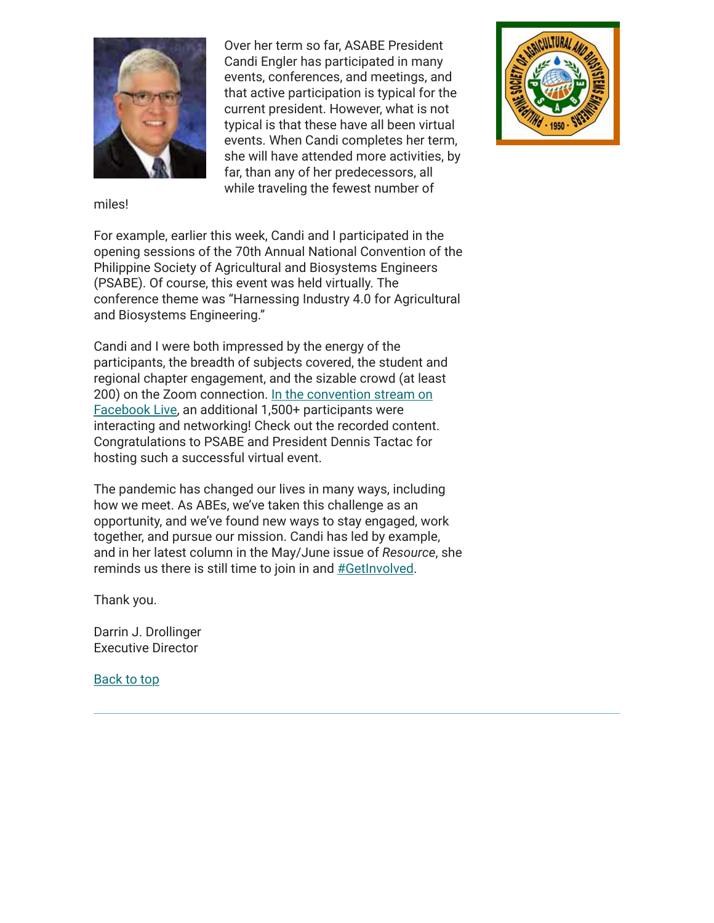

Over her term so far, ASABE President Candi Engler has participated in many events, conferences, and meetings, and that active participation is typical for the current president. However, what is not typical is that these have all been virtual events. When Candi completes her term, she will have attended more activities, by far, than any of her predecessors, all while traveling the fewest number of



miles!

For example, earlier this week, Candi and I participated in the opening sessions of the 70th Annual National Convention of the Philippine Society of Agricultural and Biosystems Engineers (PSABE). Of course, this event was held virtually. The conference theme was "Harnessing Industry 4.0 for Agricultural and Biosystems Engineering."

Candi and I were both impressed by the energy of the participants, the breadth of subjects covered, the student and regional chapter engagement, and the sizable crowd (at least [200\) on the Zoom connection. In the convention stream on](https://www.facebook.com/psae1950/) Facebook Live, an additional 1,500+ participants were interacting and networking! Check out the recorded content. Congratulations to PSABE and President Dennis Tactac for hosting such a successful virtual event.

The pandemic has changed our lives in many ways, including how we meet. As ABEs, we've taken this challenge as an opportunity, and we've found new ways to stay engaged, work together, and pursue our mission. Candi has led by example, and in her latest column in the May/June issue of *Resource*, she reminds us there is still time to join in and [#GetInvolved.](https://www.asabe.org/Get-Involved)

Thank you.

Darrin J. Drollinger Executive Director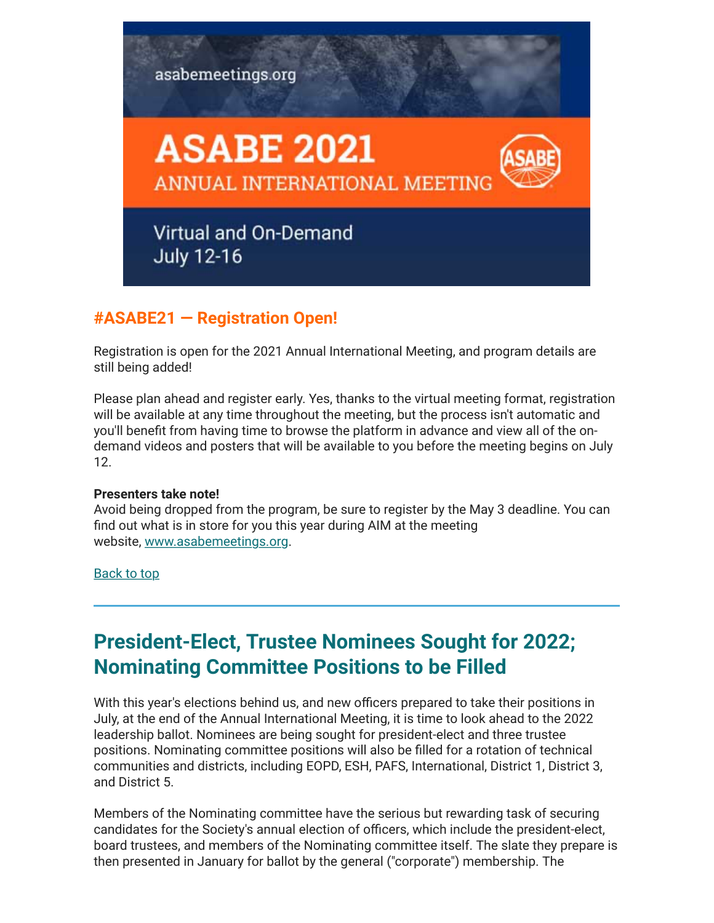

#### <span id="page-2-0"></span>**#ASABE21 — Registration Open!**

Registration is open for the 2021 Annual International Meeting, and program details are still being added!

Please plan ahead and register early. Yes, thanks to the virtual meeting format, registration will be available at any time throughout the meeting, but the process isn't automatic and you'll benefit from having time to browse the platform in advance and view all of the ondemand videos and posters that will be available to you before the meeting begins on July 12.

#### **Presenters take note!**

Avoid being dropped from the program, be sure to register by the May 3 deadline. You can find out what is in store for you this year during AIM at the meeting website, [www.asabemeetings.org](http://www.asabemeetings.org/).

#### [Back to top](#page-0-1)

# <span id="page-2-1"></span>**President-Elect, Trustee Nominees Sought for 2022; Nominating Committee Positions to be Filled**

With this year's elections behind us, and new officers prepared to take their positions in July, at the end of the Annual International Meeting, it is time to look ahead to the 2022 leadership ballot. Nominees are being sought for president-elect and three trustee positions. Nominating committee positions will also be filled for a rotation of technical communities and districts, including EOPD, ESH, PAFS, International, District 1, District 3, and District 5.

Members of the Nominating committee have the serious but rewarding task of securing candidates for the Society's annual election of officers, which include the president-elect, board trustees, and members of the Nominating committee itself. The slate they prepare is then presented in January for ballot by the general ("corporate") membership. The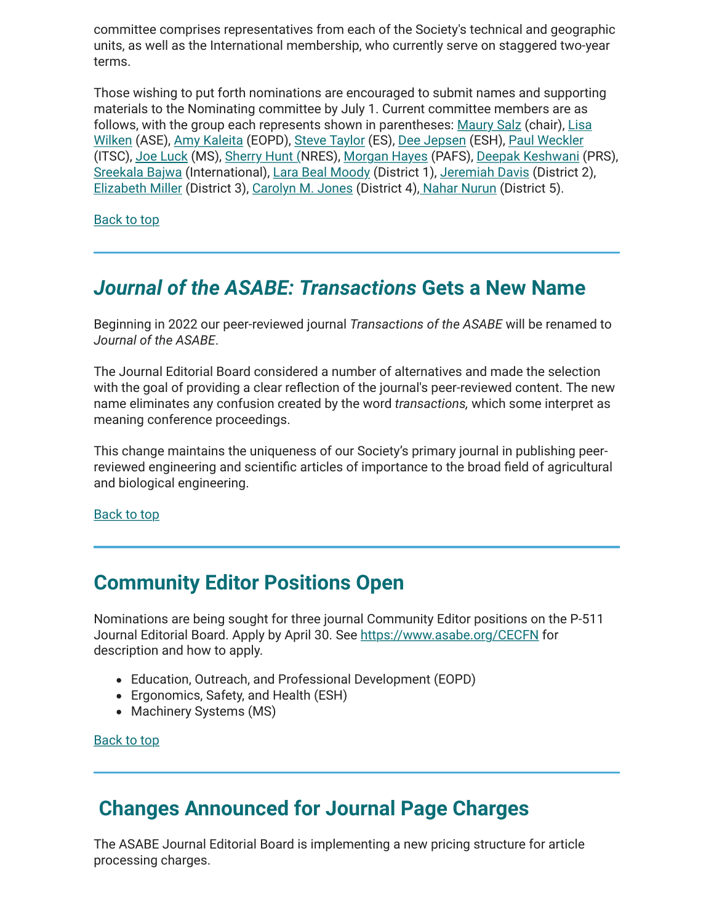committee comprises representatives from each of the Society's technical and geographic units, as well as the International membership, who currently serve on staggered two-year terms.

Those wishing to put forth nominations are encouraged to submit names and supporting materials to the Nominating committee by July 1. Current committee members are as [follows, with the group each represents shown in parentheses: Maury Salz \(chair\), Lisa](mailto:lwilken@ksu.edu?subject=ASABE%20Nominations) Wilken (ASE), [Amy Kaleita](mailto:kaleita@iastate.edu?subject=ASABE%20Nominations) (EOPD), [Steve Taylor](mailto:taylost@auburn.edu?subject=ASABE%20Nominations) (ES), [Dee Jepsen](mailto:jepsen.4@osu.edu?subject=ASABE%20Nominations) (ESH), [Paul Weckler](mailto:paul.weckler@okstate.edu?subject=ASABE%20Nominations) (ITSC), [Joe Luck](mailto:jluck2@unl.edu?subject=ASABE%20Nominations) (MS), [Sherry Hunt \(](mailto:sherry.hunt@usda.gov?subject=ASABE%20Nominations)NRES), [Morgan Hayes](mailto:hayesmorgan@uky.edu?subject=ASABE%20Nominations) (PAFS), [Deepak Keshwani](mailto:dkeshwani2@unl.edu?subject=ASABE%20Nominations) (PRS), [Sreekala Bajwa](mailto:sreekala.bajwa@montana.edu?subject=ASABE%20Nominations) (International), [Lara Beal Moody](mailto:lmoody@tfi.org?subject=ASABE%20Nominations) (District 1), [Jeremiah Davis](mailto:j.davis@auburn.edu?subject=ASABE%20Nominations) (District 2), [Elizabeth Miller](mailto:millerelizabetha@johndeere.com?subject=ASABE%20Nominations) (District 3), [Carolyn M. Jones](mailto:carolyn.jones@usda.gov?subject=ASABE%20Nominations) (District 4)[, Nahar Nurun](mailto:nurun.nahar@ndsu.edu?subject=ASABE%20Nominations) (District 5).

[Back to top](#page-0-1)

# <span id="page-3-0"></span>*Journal of the ASABE: Transactions* **Gets a New Name**

Beginning in 2022 our peer-reviewed journal *Transactions of the ASABE* will be renamed to *Journal of the ASABE*.

The Journal Editorial Board considered a number of alternatives and made the selection with the goal of providing a clear reflection of the journal's peer-reviewed content. The new name eliminates any confusion created by the word *transactions,* which some interpret as meaning conference proceedings.

This change maintains the uniqueness of our Society's primary journal in publishing peerreviewed engineering and scientific articles of importance to the broad field of agricultural and biological engineering.

[Back to top](#page-0-1)

### <span id="page-3-1"></span>**Community Editor Positions Open**

Nominations are being sought for three journal Community Editor positions on the P-511 Journal Editorial Board. Apply by April 30. See<https://www.asabe.org/CECFN> for description and how to apply.

- Education, Outreach, and Professional Development (EOPD)
- Ergonomics, Safety, and Health (ESH)
- Machinery Systems (MS)

[Back to top](#page-0-1)

### <span id="page-3-2"></span> **Changes Announced for Journal Page Charges**

The ASABE Journal Editorial Board is implementing a new pricing structure for article processing charges.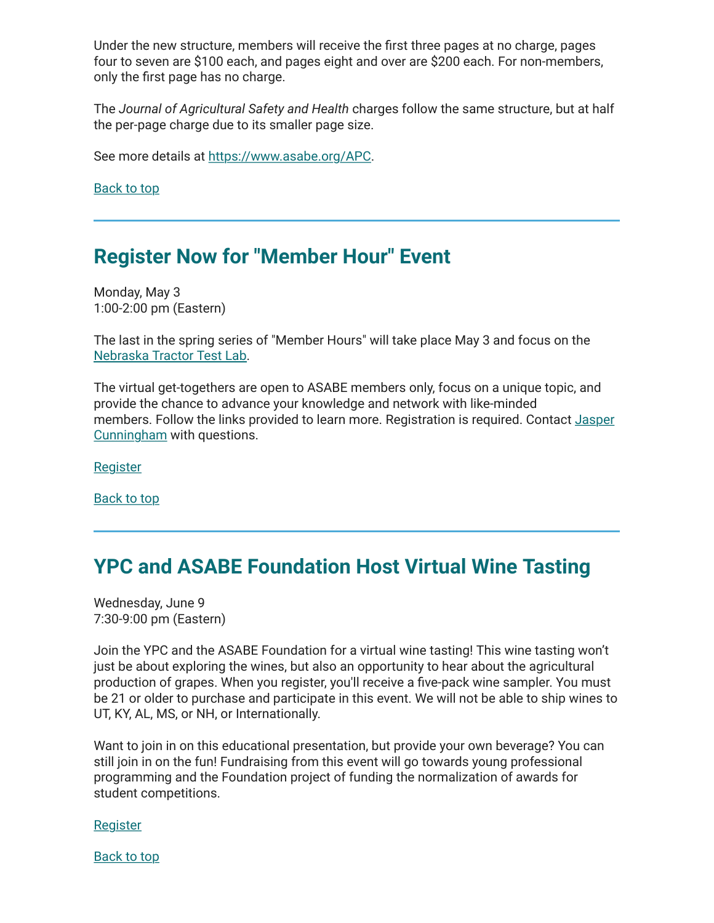Under the new structure, members will receive the first three pages at no charge, pages four to seven are \$100 each, and pages eight and over are \$200 each. For non-members, only the first page has no charge.

The *Journal of Agricultural Safety and Health* charges follow the same structure, but at half the per-page charge due to its smaller page size.

See more details at <https://www.asabe.org/APC>.

[Back to top](#page-0-1)

### <span id="page-4-0"></span>**Register Now for "Member Hour" Event**

Monday, May 3 1:00-2:00 pm (Eastern)

The last in the spring series of "Member Hours" will take place May 3 and focus on the [Nebraska Tractor Test Lab.](https://www.asabe.org/Event-Detail/member-hour-present-day-nebraska-tractor-test-lab)

The virtual get-togethers are open to ASABE members only, focus on a unique topic, and provide the chance to advance your knowledge and network with like-minded [members. Follow the links provided to learn more. Registration is required. Contact Jasper](mailto:cunningham@asabe.org?subject=Member%20Hour) Cunningham with questions.

[Register](https://na.eventscloud.com/nebttlab2)

[Back to top](#page-0-1)

# <span id="page-4-1"></span>**YPC and ASABE Foundation Host Virtual Wine Tasting**

Wednesday, June 9 7:30-9:00 pm (Eastern)

Join the YPC and the ASABE Foundation for a virtual wine tasting! This wine tasting won't just be about exploring the wines, but also an opportunity to hear about the agricultural production of grapes. When you register, you'll receive a five-pack wine sampler. You must be 21 or older to purchase and participate in this event. We will not be able to ship wines to UT, KY, AL, MS, or NH, or Internationally.

Want to join in on this educational presentation, but provide your own beverage? You can still join in on the fun! Fundraising from this event will go towards young professional programming and the Foundation project of funding the normalization of awards for student competitions.

[Register](https://na.eventscloud.com/ypcwinetasting)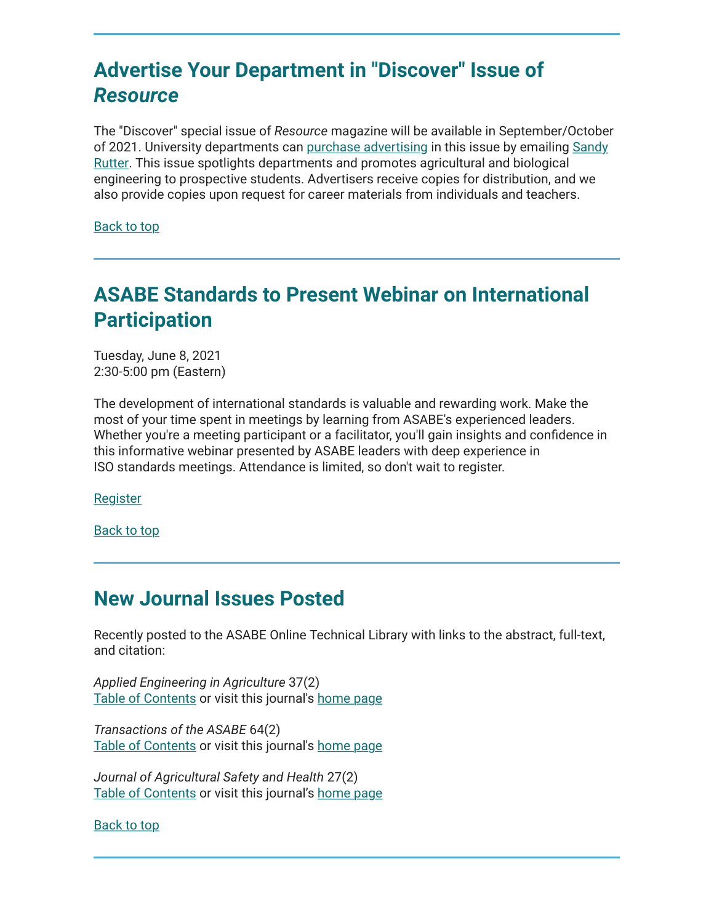# <span id="page-5-0"></span>**Advertise Your Department in "Discover" Issue of** *Resource*

The "Discover" special issue of *Resource* magazine will be available in September/October [of 2021. University departments can](mailto:rutter@asabe.org?subject=%22Discover%22%20advertising) [purchase advertisin](https://www.asabe.org/advertisingmediakit%23Discover)[g in this issue by emailing Sandy](mailto:rutter@asabe.org?subject=%22Discover%22%20advertising) Rutter. This issue spotlights departments and promotes agricultural and biological engineering to prospective students. Advertisers receive copies for distribution, and we also provide copies upon request for career materials from individuals and teachers.

[Back to top](#page-0-1)

# <span id="page-5-1"></span>**ASABE Standards to Present Webinar on International Participation**

Tuesday, June 8, 2021 2:30-5:00 pm (Eastern)

The development of international standards is valuable and rewarding work. Make the most of your time spent in meetings by learning from ASABE's experienced leaders. Whether you're a meeting participant or a facilitator, you'll gain insights and confidence in this informative webinar presented by ASABE leaders with deep experience in ISO standards meetings. Attendance is limited, so don't wait to register.

**[Register](https://asabe.zoom.us/webinar/register/WN_5cBX1423TOWQ_CyCFDssrg)** 

[Back to top](#page-0-1)

### <span id="page-5-2"></span>**New Journal Issues Posted**

Recently posted to the ASABE Online Technical Library with links to the abstract, full-text, and citation:

*Applied Engineering in Agriculture* 37(2) [Table of Contents](https://elibrary.asabe.org/toc_journals.asp?volume=37&issue=2&conf=aeaj&confalias=aeaj&orgconf=aeaj2021) or visit this journal's [home page](https://www.asabe.org/Applied)

*Transactions of the ASABE* 64(2) [Table of Contents](https://elibrary.asabe.org/toc_journals.asp?volume=64&issue=2&conf=t&confalias=t2&orgconf=t2021) or visit this journal's [home page](https://www.asabe.org/Transactions)

*Journal of Agricultural Safety and Health* 27(2) [Table of Contents](https://elibrary.asabe.org/toc_journals.asp?volume=27&issue=2&conf=j&confalias=j&orgconf=j2021) or visit this journal's [home page](https://www.asabe.org/JASH)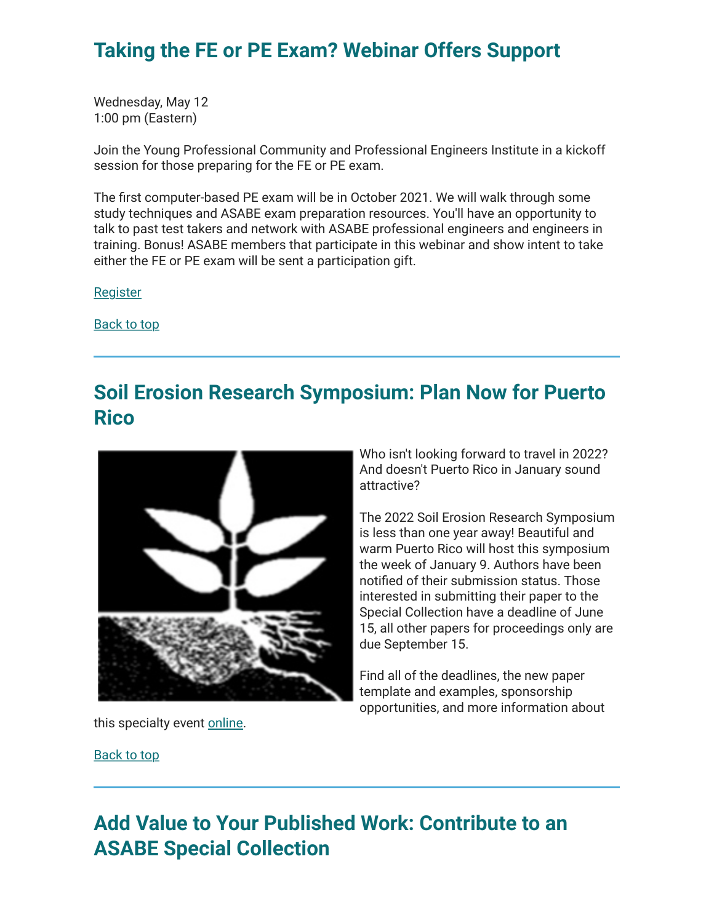### <span id="page-6-0"></span>**Taking the FE or PE Exam? Webinar Offers Support**

Wednesday, May 12 1:00 pm (Eastern)

Join the Young Professional Community and Professional Engineers Institute in a kickoff session for those preparing for the FE or PE exam.

The first computer-based PE exam will be in October 2021. We will walk through some study techniques and ASABE exam preparation resources. You'll have an opportunity to talk to past test takers and network with ASABE professional engineers and engineers in training. Bonus! ASABE members that participate in this webinar and show intent to take either the FE or PE exam will be sent a participation gift.

[Register](https://asabe.zoom.us/webinar/register/WN_-E0U_2IUQ82ufPZxnayW7w)

[Back to top](#page-0-1)

# <span id="page-6-1"></span>**Soil Erosion Research Symposium: Plan Now for Puerto Rico**



this specialty event [online](https://asabe.org/Events/2022-Soil-Erosion-Research-under-a-Changing-Climate).

Who isn't looking forward to travel in 2022? And doesn't Puerto Rico in January sound attractive?

The 2022 Soil Erosion Research Symposium is less than one year away! Beautiful and warm Puerto Rico will host this symposium the week of January 9. Authors have been notified of their submission status. Those interested in submitting their paper to the Special Collection have a deadline of June 15, all other papers for proceedings only are due September 15.

Find all of the deadlines, the new paper template and examples, sponsorship opportunities, and more information about

[Back to top](#page-0-1)

# <span id="page-6-2"></span>**Add Value to Your Published Work: Contribute to an ASABE Special Collection**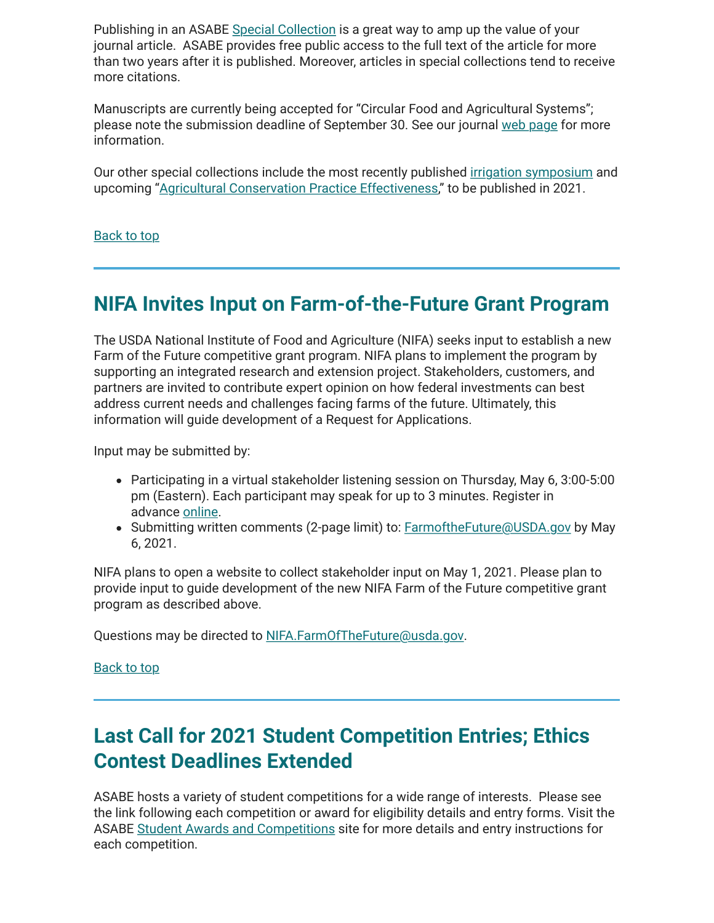Publishing in an ASABE [Special Collection](https://www.asabe.org/SpecialCollections) is a great way to amp up the value of your journal article. ASABE provides free public access to the full text of the article for more than two years after it is published. Moreover, articles in special collections tend to receive more citations.

Manuscripts are currently being accepted for "Circular Food and Agricultural Systems"; please note the submission deadline of September 30. See our journal [web page](https://www.asabe.org/Applied) for more information.

Our other special collections include the most recently published *irrigation symposium* and upcoming "[Agricultural Conservation Practice Effectiveness,](https://www.asabe.org/sc21ACPE)" to be published in 2021.

[Back to top](#page-0-1)

### <span id="page-7-0"></span>**NIFA Invites Input on Farm-of-the-Future Grant Program**

The USDA National Institute of Food and Agriculture (NIFA) seeks input to establish a new Farm of the Future competitive grant program. NIFA plans to implement the program by supporting an integrated research and extension project. Stakeholders, customers, and partners are invited to contribute expert opinion on how federal investments can best address current needs and challenges facing farms of the future. Ultimately, this information will guide development of a Request for Applications.

Input may be submitted by:

- Participating in a virtual stakeholder listening session on Thursday, May 6, 3:00-5:00 pm (Eastern). Each participant may speak for up to 3 minutes. Register in advance [online](https://gcc02.safelinks.protection.outlook.com/?url=https://lnks.gd/l/eyJhbGciOiJIUzI1NiJ9.eyJidWxsZXRpbl9saW5rX2lkIjoxMDcsInVyaSI6ImJwMjpjbGljayIsImJ1bGxldGluX2lkIjoiMjAyMTA0MjEuMzkyMDM3MDEiLCJ1cmwiOiJodHRwczovL3d3dy56b29tZ292LmNvbS93ZWJpbmFyL3JlZ2lzdGVyL1dOX3hubm1SMUZxUVJ5bTFEYkpwOUNBLWc_dXRtX2NvbnRlbnQ9JnV0bV9tZWRpdW09ZW1haWwmdXRtX25hbWU9JnV0bV9zb3VyY2U9Z292ZGVsaXZlcnkmdXRtX3Rlcm09In0.y9VS4GTcNb2iG3Y4LEoHk_O3u8kmrbkT3RCcUhehTWc/s/1199870183/br/103586715952-l&data=04%7C01%7C%7C0ea42bf58c4a424f097a08d9065fbe36%7Ced5b36e701ee4ebc867ee03cfa0d4697%7C0%7C0%7C637547830547395729%7CUnknown%7CTWFpbGZsb3d8eyJWIjoiMC4wLjAwMDAiLCJQIjoiV2luMzIiLCJBTiI6Ik1haWwiLCJXVCI6Mn0=%7C1000&sdata=iowh1TN4W95UQQTnqfafDygfGfsDNwYGlFWXdN1iGWc=&reserved=0).
- Submitting written comments (2-page limit) to: [FarmoftheFuture@USDA.gov](mailto:NIFA.FarmoftheFuture@USDA.gov) by May 6, 2021.

NIFA plans to open a website to collect stakeholder input on May 1, 2021. Please plan to provide input to guide development of the new NIFA Farm of the Future competitive grant program as described above.

Questions may be directed to [NIFA.FarmOfTheFuture@usda.gov.](mailto:NIFA.FarmOfTheFuture@usda.gov)

[Back to top](#page-0-1)

# <span id="page-7-1"></span>**Last Call for 2021 Student Competition Entries; Ethics Contest Deadlines Extended**

ASABE hosts a variety of student competitions for a wide range of interests. Please see the link following each competition or award for eligibility details and entry forms. Visit the ASABE [Student Awards and Competitions](https://www.asabe.org/Awards-Competitions/Student-Awards-Competitions-Scholarships) site for more details and entry instructions for each competition.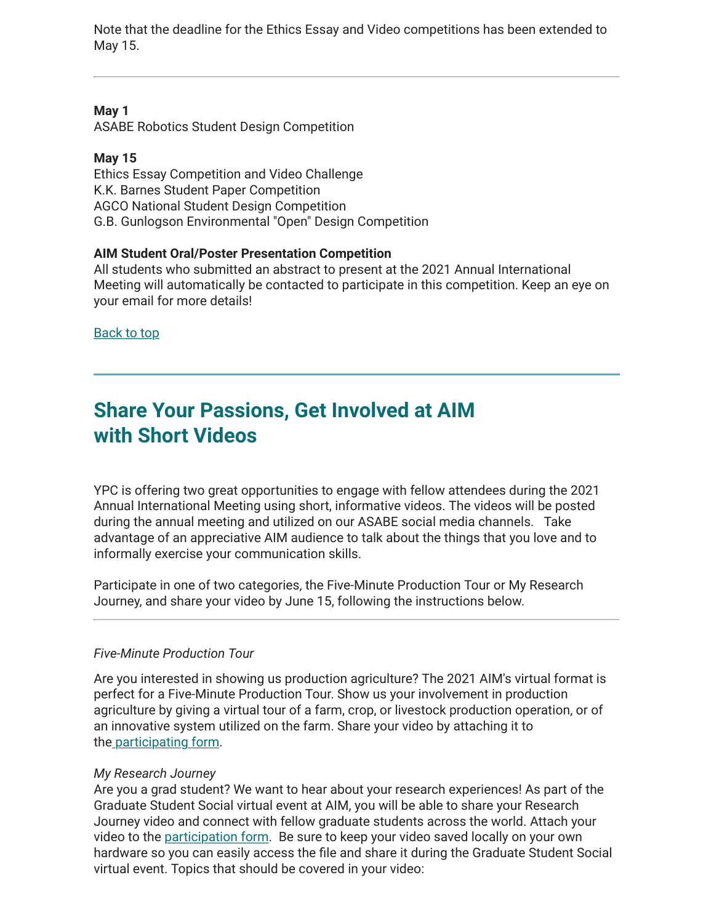Note that the deadline for the Ethics Essay and Video competitions has been extended to May 15.

#### **May 1**

ASABE Robotics Student Design Competition

#### **May 15**

Ethics Essay Competition and Video Challenge K.K. Barnes Student Paper Competition AGCO National Student Design Competition G.B. Gunlogson Environmental "Open" Design Competition

#### **AIM Student Oral/Poster Presentation Competition**

All students who submitted an abstract to present at the 2021 Annual International Meeting will automatically be contacted to participate in this competition. Keep an eye on your email for more details!

[Back to top](#page-0-1)

### <span id="page-8-0"></span>**Share Your Passions, Get Involved at AIM with Short Videos**

YPC is offering two great opportunities to engage with fellow attendees during the 2021 Annual International Meeting using short, informative videos. The videos will be posted during the annual meeting and utilized on our ASABE social media channels. Take advantage of an appreciative AIM audience to talk about the things that you love and to informally exercise your communication skills.

Participate in one of two categories, the Five-Minute Production Tour or My Research Journey, and share your video by June 15, following the instructions below.

#### *Five-Minute Production Tour*

Are you interested in showing us production agriculture? The 2021 AIM's virtual format is perfect for a Five-Minute Production Tour. Show us your involvement in production agriculture by giving a virtual tour of a farm, crop, or livestock production operation, or of an innovative system utilized on the farm. Share your video by attaching it to th[e participating form](https://forms.gle/mCwd6ZHSQPJKEo237).

#### *My Research Journey*

Are you a grad student? We want to hear about your research experiences! As part of the Graduate Student Social virtual event at AIM, you will be able to share your Research Journey video and connect with fellow graduate students across the world. Attach your video to the [participation form.](http://%20https://forms.gle/ETVi4sbbZTjhe51HA) Be sure to keep your video saved locally on your own hardware so you can easily access the file and share it during the Graduate Student Social virtual event. Topics that should be covered in your video: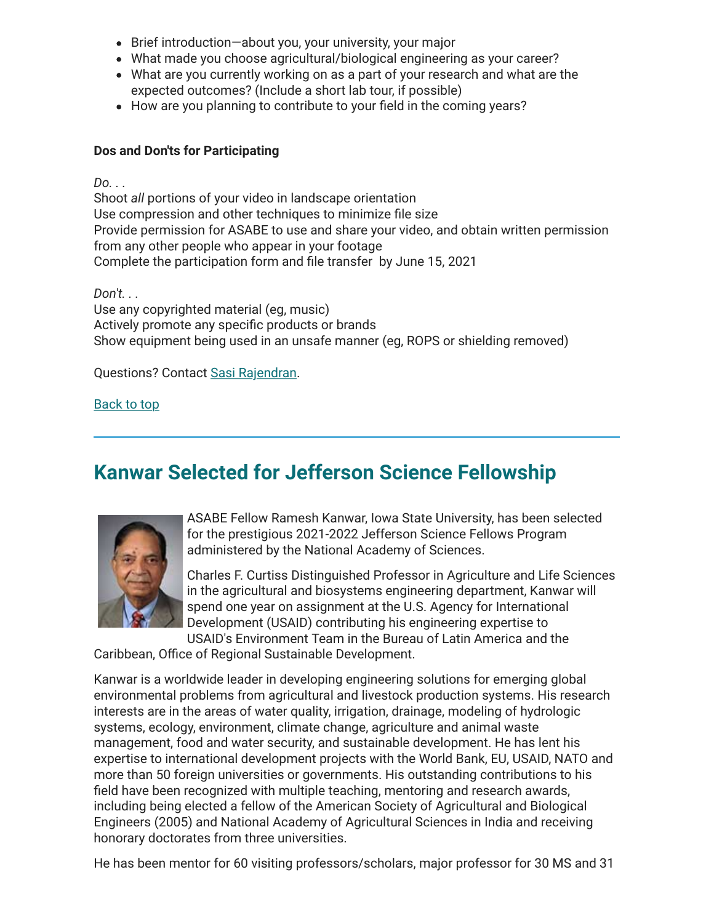- Brief introduction—about you, your university, your major
- What made you choose agricultural/biological engineering as your career?
- What are you currently working on as a part of your research and what are the expected outcomes? (Include a short lab tour, if possible)
- How are you planning to contribute to your field in the coming years?

#### **Dos and Don'ts for Participating**

*Do. . .*

Shoot *all* portions of your video in landscape orientation Use compression and other techniques to minimize file size Provide permission for ASABE to use and share your video, and obtain written permission from any other people who appear in your footage Complete the participation form and file transfer by June 15, 2021

*Don't. . .*

Use any copyrighted material (eg, music) Actively promote any specific products or brands Show equipment being used in an unsafe manner (eg, ROPS or shielding removed)

Questions? Contact [Sasi Rajendran.](mailto:sasi.reka@hotmail.com?subject=YPC%20Videos%20at%202021%20ASABE%20AIM)

[Back to top](#page-0-1)

# <span id="page-9-0"></span>**Kanwar Selected for Jefferson Science Fellowship**



ASABE Fellow Ramesh Kanwar, Iowa State University, has been selected for the prestigious 2021-2022 Jefferson Science Fellows Program administered by the National Academy of Sciences.

Charles F. Curtiss Distinguished Professor in Agriculture and Life Sciences in the agricultural and biosystems engineering department, Kanwar will spend one year on assignment at the U.S. Agency for International Development (USAID) contributing his engineering expertise to USAID's Environment Team in the Bureau of Latin America and the

Caribbean, Office of Regional Sustainable Development.

Kanwar is a worldwide leader in developing engineering solutions for emerging global environmental problems from agricultural and livestock production systems. His research interests are in the areas of water quality, irrigation, drainage, modeling of hydrologic systems, ecology, environment, climate change, agriculture and animal waste management, food and water security, and sustainable development. He has lent his expertise to international development projects with the World Bank, EU, USAID, NATO and more than 50 foreign universities or governments. His outstanding contributions to his field have been recognized with multiple teaching, mentoring and research awards, including being elected a fellow of the American Society of Agricultural and Biological Engineers (2005) and National Academy of Agricultural Sciences in India and receiving honorary doctorates from three universities.

He has been mentor for 60 visiting professors/scholars, major professor for 30 MS and 31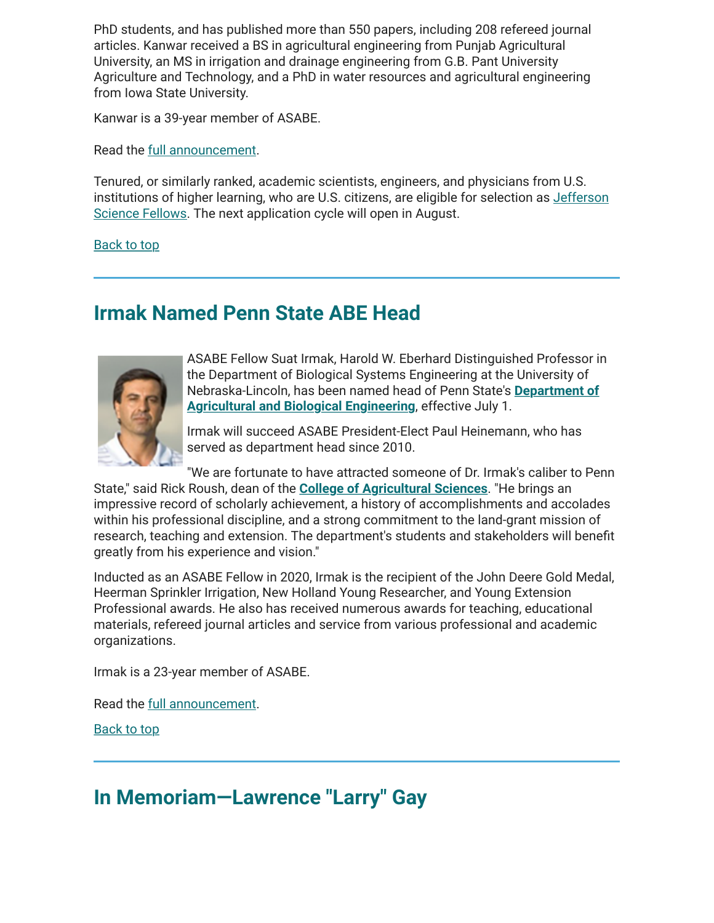PhD students, and has published more than 550 papers, including 208 refereed journal articles. Kanwar received a BS in agricultural engineering from Punjab Agricultural University, an MS in irrigation and drainage engineering from G.B. Pant University Agriculture and Technology, and a PhD in water resources and agricultural engineering from Iowa State University.

Kanwar is a 39-year member of ASABE.

Read the [full announcement.](https://news.engineering.iastate.edu/2021/04/09/worldwide-impact-two-engineering-faculty-selected-for-jefferson-science-fellows-program/)

Tenured, or similarly ranked, academic scientists, engineers, and physicians from U.S. institutions of higher learning, who are U.S. citizens, are eligible for selection as *Jefferson* Science Fellows. The next application cycle will open in August.

[Back to top](#page-0-1)

### <span id="page-10-0"></span>**Irmak Named Penn State ABE Head**



ASABE Fellow Suat Irmak, Harold W. Eberhard Distinguished Professor in the Department of Biological Systems Engineering at the University of [Nebraska-Lincoln, has been named head of Penn State's](https://abe.psu.edu/) **Department of Agricultural and Biological Engineering**, effective July 1.

Irmak will succeed ASABE President-Elect Paul Heinemann, who has served as department head since 2010.

"We are fortunate to have attracted someone of Dr. Irmak's caliber to Penn State," said Rick Roush, dean of the **[College of Agricultural Sciences](https://agsci.psu.edu/)**. "He brings an impressive record of scholarly achievement, a history of accomplishments and accolades within his professional discipline, and a strong commitment to the land-grant mission of research, teaching and extension. The department's students and stakeholders will benefit greatly from his experience and vision."

Inducted as an ASABE Fellow in 2020, Irmak is the recipient of the John Deere Gold Medal, Heerman Sprinkler Irrigation, New Holland Young Researcher, and Young Extension Professional awards. He also has received numerous awards for teaching, educational materials, refereed journal articles and service from various professional and academic organizations.

Irmak is a 23-year member of ASABE.

Read the [full announcement.](https://news.psu.edu/story/653949/2021/04/07/irmak-lead-penn-state-department-agricultural-and-biological-engineering)

[Back to top](#page-0-1)

### <span id="page-10-1"></span>**In Memoriam—Lawrence "Larry" Gay**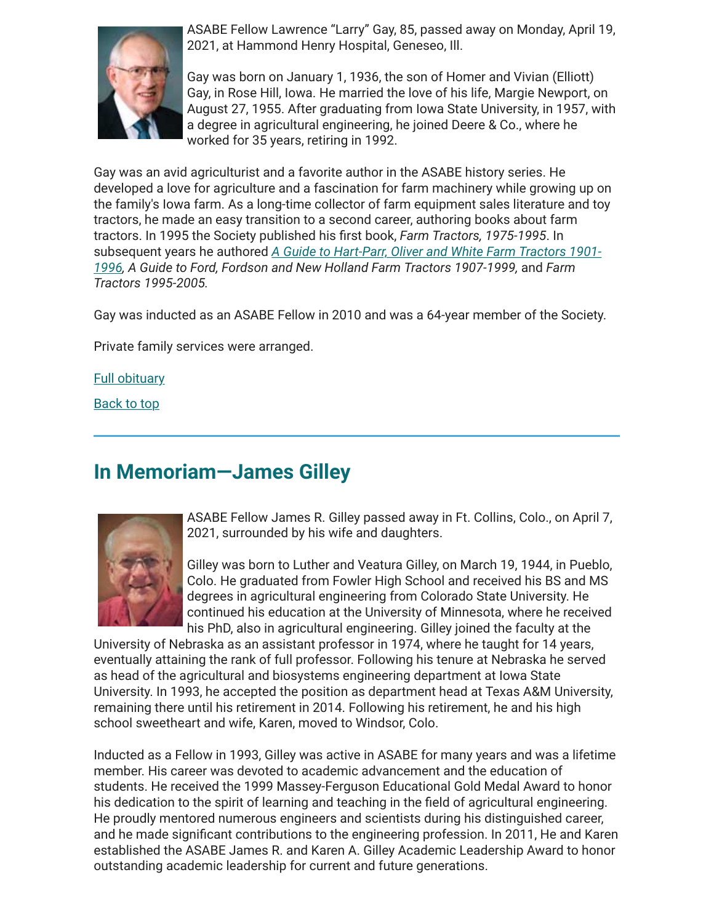

ASABE Fellow Lawrence "Larry" Gay, 85, passed away on Monday, April 19, 2021, at Hammond Henry Hospital, Geneseo, Ill.

Gay was born on January 1, 1936, the son of Homer and Vivian (Elliott) Gay, in Rose Hill, Iowa. He married the love of his life, Margie Newport, on August 27, 1955. After graduating from Iowa State University, in 1957, with a degree in agricultural engineering, he joined Deere & Co., where he worked for 35 years, retiring in 1992.

Gay was an avid agriculturist and a favorite author in the ASABE history series. He developed a love for agriculture and a fascination for farm machinery while growing up on the family's Iowa farm. As a long-time collector of farm equipment sales literature and toy tractors, he made an easy transition to a second career, authoring books about farm tractors. In 1995 the Society published his first book, *Farm Tractors*, 1975-1995. In subsequent years he authored *A Guide to Hart-Parr, Oliver and White Farm Tractors 1901- [1996, A Guide to Ford, Fordson and New Holland Farm Tractors 1907-1999,](https://www.amazon.com/Guide-Hart-Parr-Oliver-Tractors-1901-1996/dp/0929355873/ref=sr_1_1?dchild=1&keywords=larry+gay&m=A3L5YFH7IZN60Q&qid=1619707119&s=merchant-items&sr=1-1)* and *Farm Tractors 1995-2005.*

Gay was inducted as an ASABE Fellow in 2010 and was a 64-year member of the Society.

Private family services were arranged.

**[Full obituary](https://www.vandemorefuneralhome.com/obituary/Lawrence-Gay)** 

[Back to top](#page-0-1)

### <span id="page-11-0"></span>**In Memoriam—James Gilley**



ASABE Fellow James R. Gilley passed away in Ft. Collins, Colo., on April 7, 2021, surrounded by his wife and daughters.

Gilley was born to Luther and Veatura Gilley, on March 19, 1944, in Pueblo, Colo. He graduated from Fowler High School and received his BS and MS degrees in agricultural engineering from Colorado State University. He continued his education at the University of Minnesota, where he received his PhD, also in agricultural engineering. Gilley joined the faculty at the

University of Nebraska as an assistant professor in 1974, where he taught for 14 years, eventually attaining the rank of full professor. Following his tenure at Nebraska he served as head of the agricultural and biosystems engineering department at Iowa State University. In 1993, he accepted the position as department head at Texas A&M University, remaining there until his retirement in 2014. Following his retirement, he and his high school sweetheart and wife, Karen, moved to Windsor, Colo.

Inducted as a Fellow in 1993, Gilley was active in ASABE for many years and was a lifetime member. His career was devoted to academic advancement and the education of students. He received the 1999 Massey-Ferguson Educational Gold Medal Award to honor his dedication to the spirit of learning and teaching in the field of agricultural engineering. He proudly mentored numerous engineers and scientists during his distinguished career, and he made significant contributions to the engineering profession. In 2011, He and Karen established the ASABE James R. and Karen A. Gilley Academic Leadership Award to honor outstanding academic leadership for current and future generations.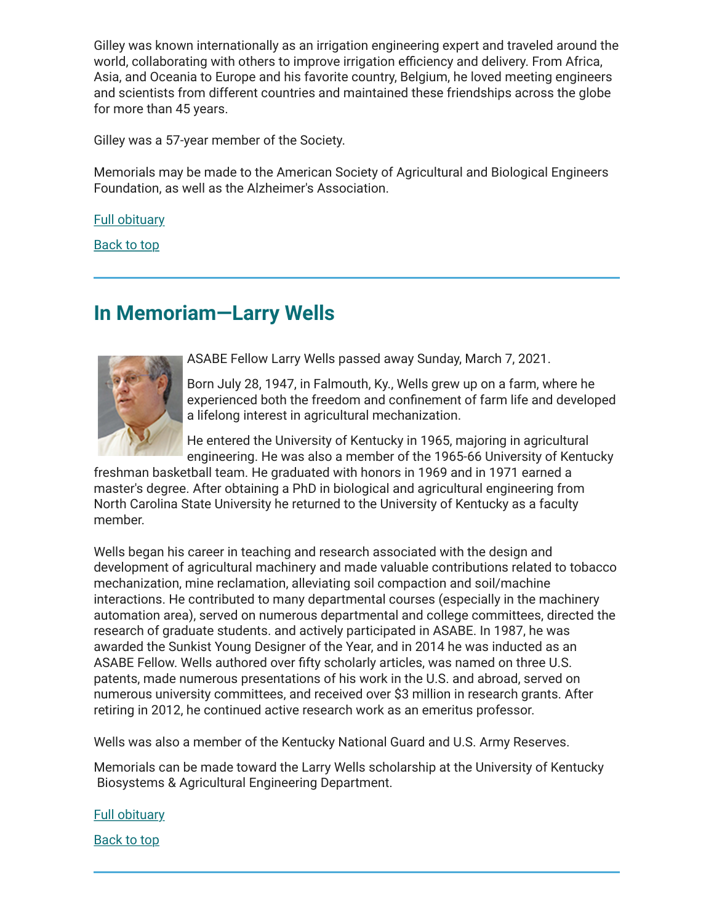Gilley was known internationally as an irrigation engineering expert and traveled around the world, collaborating with others to improve irrigation efficiency and delivery. From Africa, Asia, and Oceania to Europe and his favorite country, Belgium, he loved meeting engineers and scientists from different countries and maintained these friendships across the globe for more than 45 years.

Gilley was a 57-year member of the Society.

Memorials may be made to the American Society of Agricultural and Biological Engineers Foundation, as well as the Alzheimer's Association.

[Full obituary](https://www.goesfuneralcare.com/obituaries/James-Gilley-8/%23!/Obituary)

[Back to top](#page-0-1)

# <span id="page-12-0"></span>**In Memoriam—Larry Wells**



ASABE Fellow Larry Wells passed away Sunday, March 7, 2021.

Born July 28, 1947, in Falmouth, Ky., Wells grew up on a farm, where he experienced both the freedom and confinement of farm life and developed a lifelong interest in agricultural mechanization.

He entered the University of Kentucky in 1965, majoring in agricultural engineering. He was also a member of the 1965-66 University of Kentucky

freshman basketball team. He graduated with honors in 1969 and in 1971 earned a master's degree. After obtaining a PhD in biological and agricultural engineering from North Carolina State University he returned to the University of Kentucky as a faculty member.

Wells began his career in teaching and research associated with the design and development of agricultural machinery and made valuable contributions related to tobacco mechanization, mine reclamation, alleviating soil compaction and soil/machine interactions. He contributed to many departmental courses (especially in the machinery automation area), served on numerous departmental and college committees, directed the research of graduate students. and actively participated in ASABE. In 1987, he was awarded the Sunkist Young Designer of the Year, and in 2014 he was inducted as an ASABE Fellow. Wells authored over fifty scholarly articles, was named on three U.S. patents, made numerous presentations of his work in the U.S. and abroad, served on numerous university committees, and received over \$3 million in research grants. After retiring in 2012, he continued active research work as an emeritus professor.

Wells was also a member of the Kentucky National Guard and U.S. Army Reserves.

Memorials can be made toward the Larry Wells scholarship at the University of Kentucky Biosystems & Agricultural Engineering Department.

[Full obituary](https://www.engr.uky.edu/news/2021/03/remembering-professor-larry-wells-1947-2021)